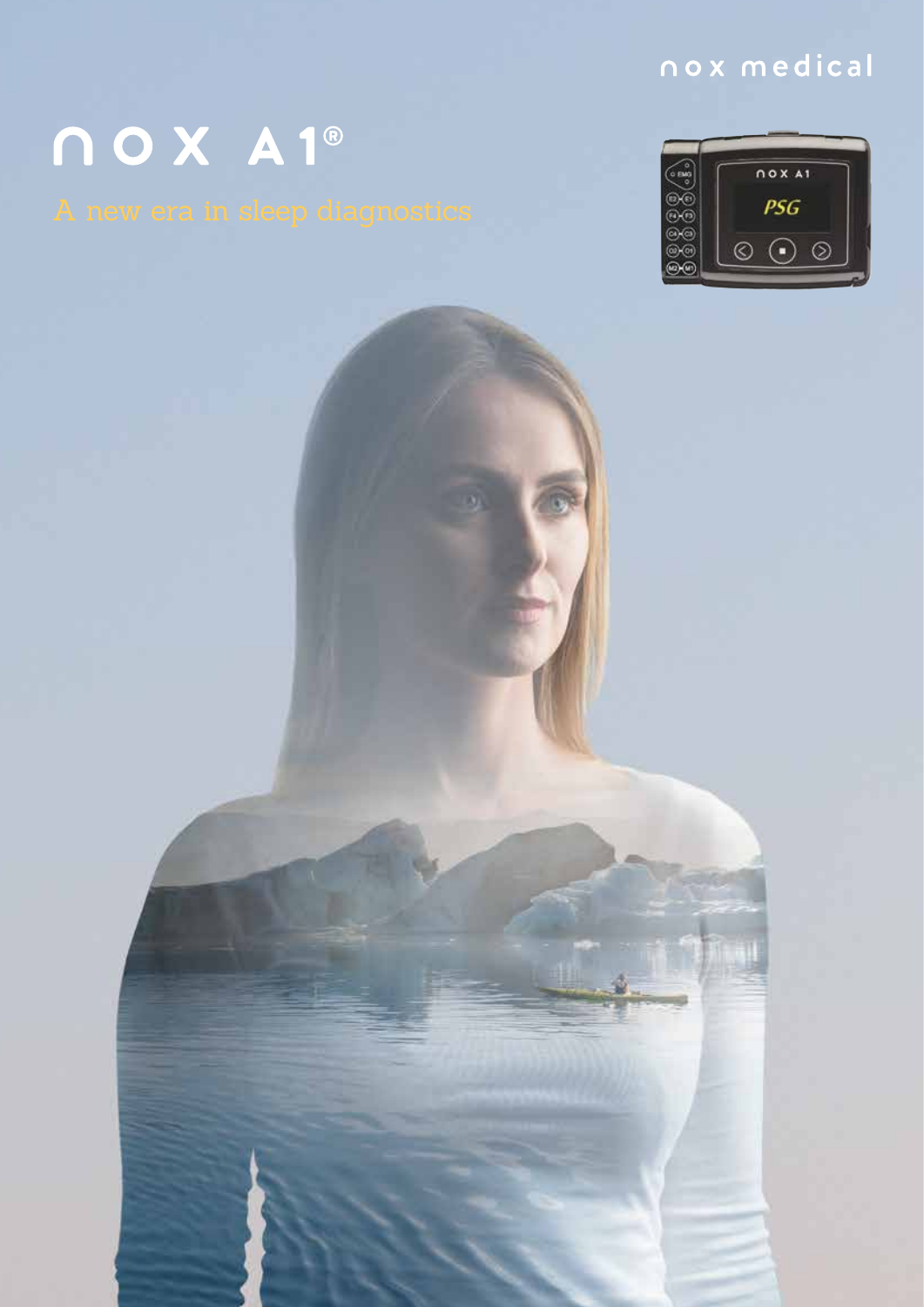### nox medical

## nox A1®

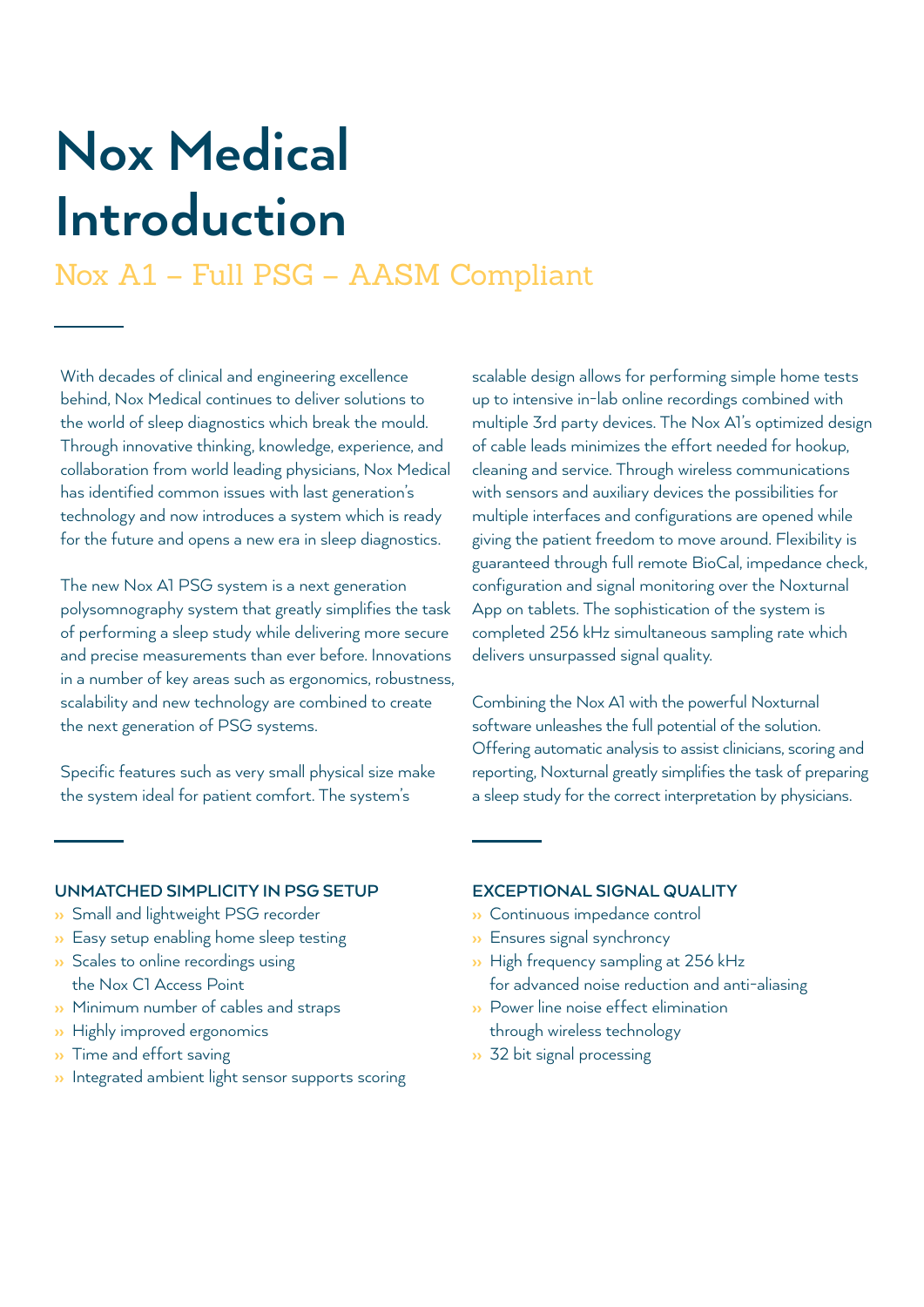## **Nox Medical Introduction**

### Nox A1 – Full PSG – AASM Compliant

With decades of clinical and engineering excellence behind, Nox Medical continues to deliver solutions to the world of sleep diagnostics which break the mould. Through innovative thinking, knowledge, experience, and collaboration from world leading physicians, Nox Medical has identified common issues with last generation's technology and now introduces a system which is ready for the future and opens a new era in sleep diagnostics.

The new Nox A1 PSG system is a next generation polysomnography system that greatly simplifies the task of performing a sleep study while delivering more secure and precise measurements than ever before. Innovations in a number of key areas such as ergonomics, robustness, scalability and new technology are combined to create the next generation of PSG systems.

Specific features such as very small physical size make the system ideal for patient comfort. The system's

scalable design allows for performing simple home tests up to intensive in-lab online recordings combined with multiple 3rd party devices. The Nox A1's optimized design of cable leads minimizes the effort needed for hookup, cleaning and service. Through wireless communications with sensors and auxiliary devices the possibilities for multiple interfaces and configurations are opened while giving the patient freedom to move around. Flexibility is guaranteed through full remote BioCal, impedance check, configuration and signal monitoring over the Noxturnal App on tablets. The sophistication of the system is completed 256 kHz simultaneous sampling rate which delivers unsurpassed signal quality.

Combining the Nox A1 with the powerful Noxturnal software unleashes the full potential of the solution. Offering automatic analysis to assist clinicians, scoring and reporting, Noxturnal greatly simplifies the task of preparing a sleep study for the correct interpretation by physicians.

#### **UNMATCHED SIMPLICITY IN PSG SETUP**

- ›› Small and lightweight PSG recorder
- ›› Easy setup enabling home sleep testing
- **>>** Scales to online recordings using the Nox C1 Access Point
- ›› Minimum number of cables and straps
- **»** Highly improved ergonomics
- ›› Time and effort saving
- **>>** Integrated ambient light sensor supports scoring

#### **EXCEPTIONAL SIGNAL QUALITY**

- ›› Continuous impedance control
- ›› Ensures signal synchroncy
- ›› High frequency sampling at 256 kHz for advanced noise reduction and anti-aliasing
- ›› Power line noise effect elimination through wireless technology
- ›› 32 bit signal processing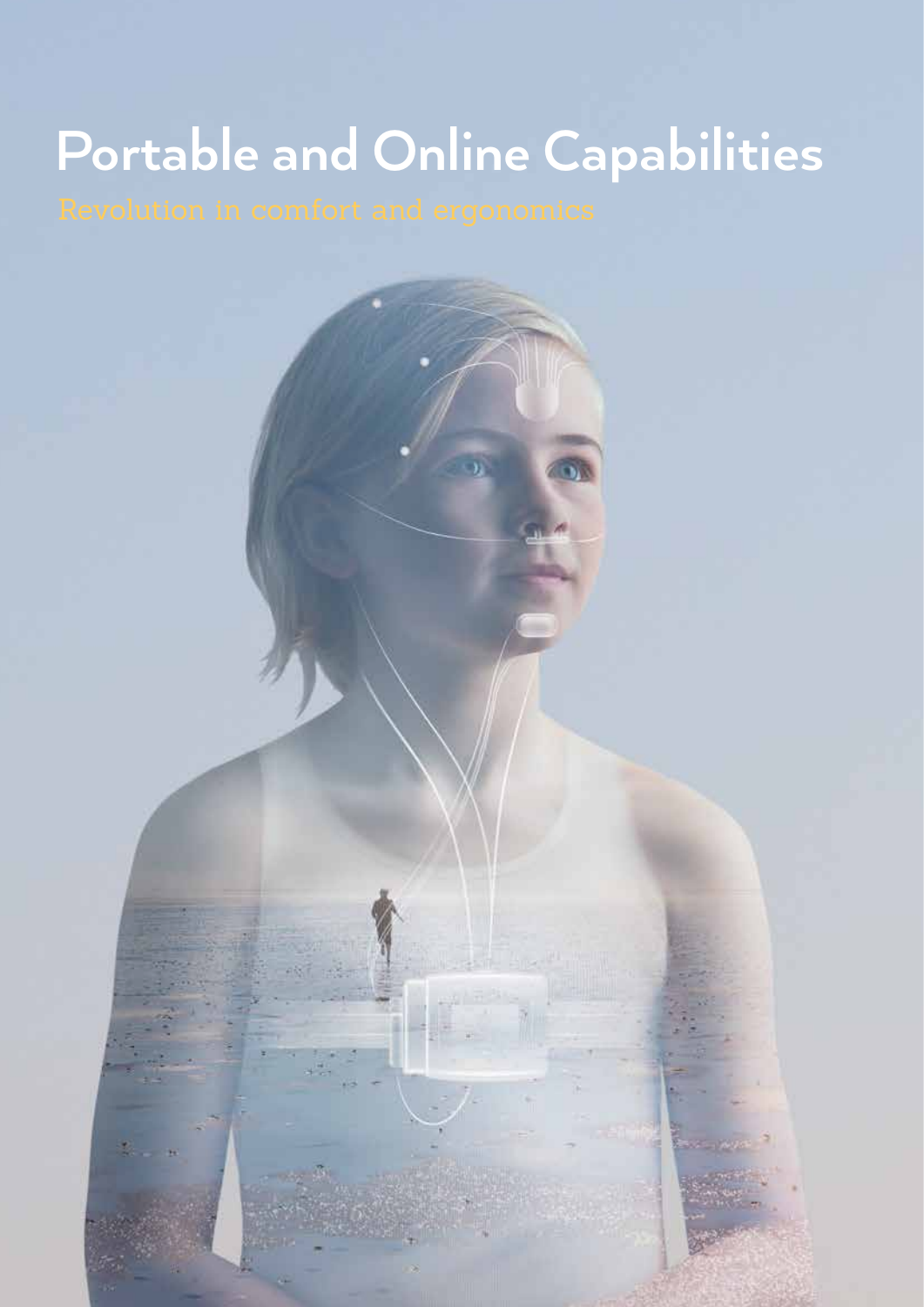## **Portable and Online Capabilities**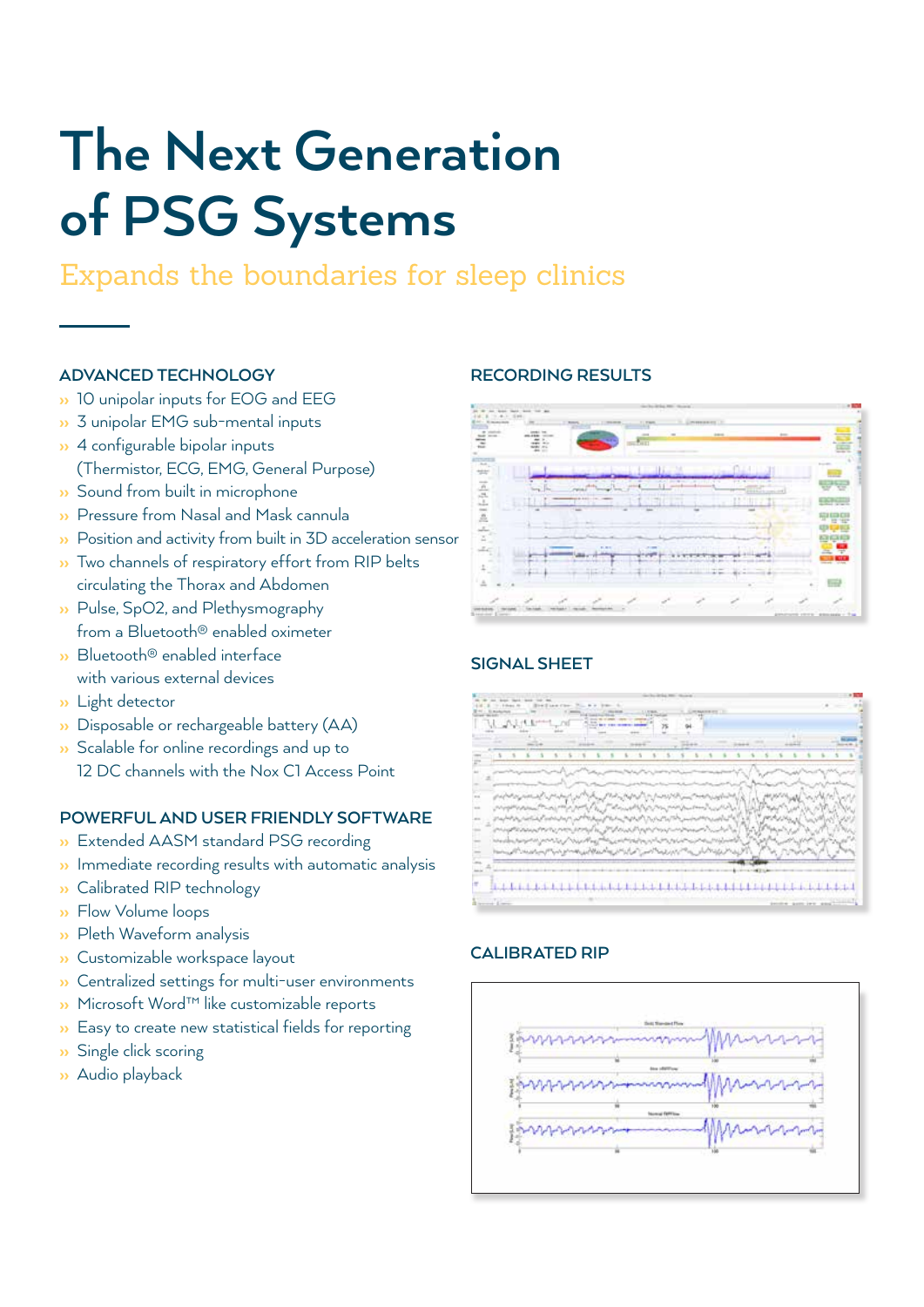## **The Next Generation of PSG Systems**

### Expands the boundaries for sleep clinics

### **ADVANCED TECHNOLOGY**

- <sup>3</sup> 10 unipolar inputs for EOG and EEG
- ›› 3 unipolar EMG sub-mental inputs
- ›› 4 configurable bipolar inputs (Thermistor, ECG, EMG, General Purpose)
- ›› Sound from built in microphone
- ›› Pressure from Nasal and Mask cannula
- ›› Position and activity from built in 3D acceleration sensor
- ›› Two channels of respiratory effort from RIP belts circulating the Thorax and Abdomen
- ›› Pulse, SpO2, and Plethysmography from a Bluetooth® enabled oximeter
- ›› Bluetooth® enabled interface with various external devices
- ›› Light detector
- ›› Disposable or rechargeable battery (AA)
- **>>** Scalable for online recordings and up to
- 12 DC channels with the Nox C1 Access Point

#### **POWERFUL AND USER FRIENDLY SOFTWARE**

- ›› Extended AASM standard PSG recording
- **>>** Immediate recording results with automatic analysis
- ›› Calibrated RIP technology
- ›› Flow Volume loops
- ›› Pleth Waveform analysis
- ›› Customizable workspace layout
- ›› Centralized settings for multi-user environments
- ›› Microsoft Word™ like customizable reports
- ›› Easy to create new statistical fields for reporting
- ›› Single click scoring
- ›› Audio playback

#### **RECORDING RESULTS**



#### **SIGNAL SHEET**



#### **CALIBRATED RIP**

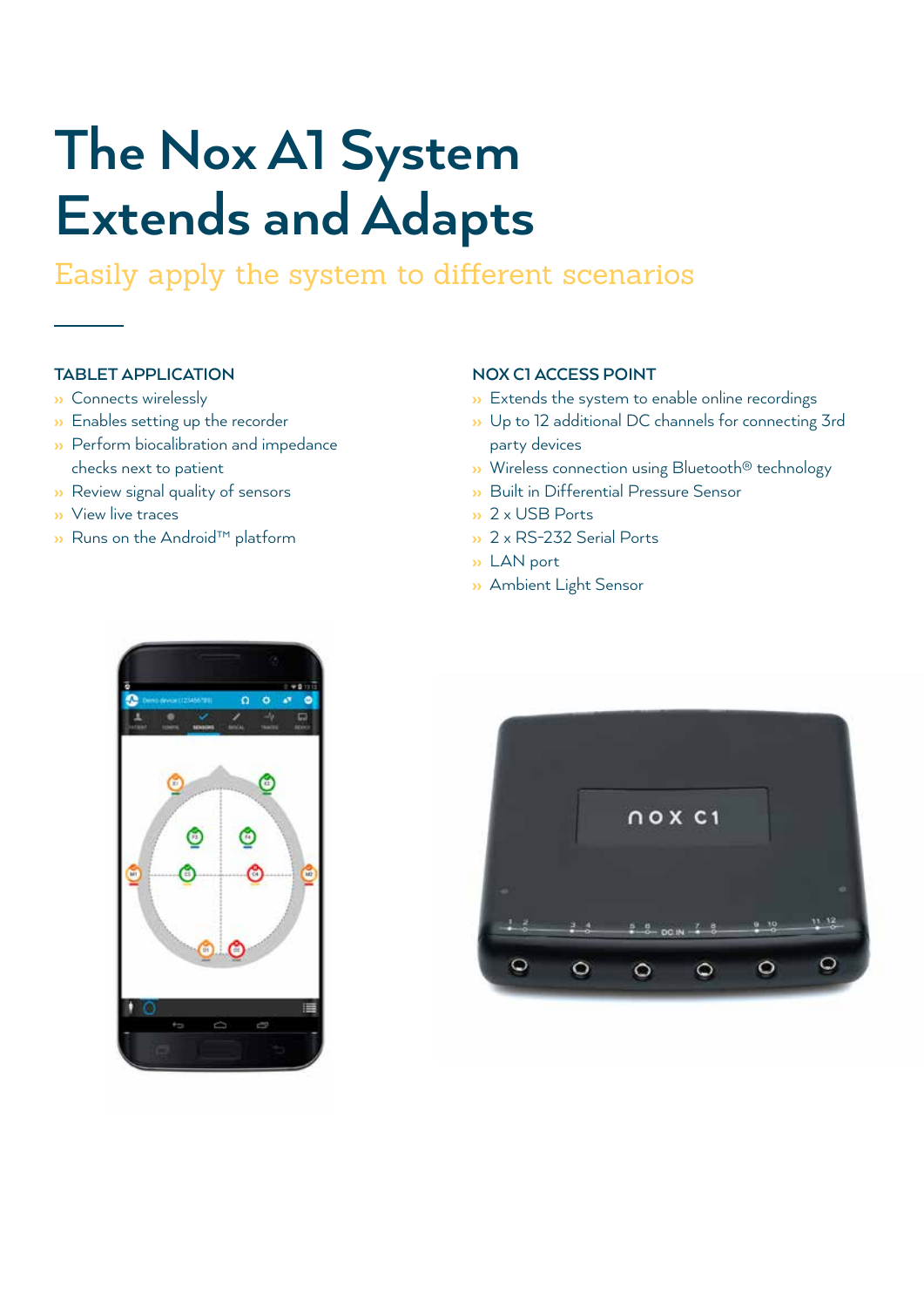## **The Nox A1 System Extends and Adapts**

Easily apply the system to different scenarios

### **TABLET APPLICATION**

- ›› Connects wirelessly
- ›› Enables setting up the recorder
- ›› Perform biocalibration and impedance checks next to patient
- ›› Review signal quality of sensors
- ›› View live traces
- ›› Runs on the Android™ platform

#### **NOX C1 ACCESS POINT**

- Extends the system to enable online recordings
- ›› Up to 12 additional DC channels for connecting 3rd party devices
- ›› Wireless connection using Bluetooth® technology
- ›› Built in Differential Pressure Sensor
- ›› 2 x USB Ports
- ›› 2 x RS-232 Serial Ports
- ›› LAN port
- ›› Ambient Light Sensor